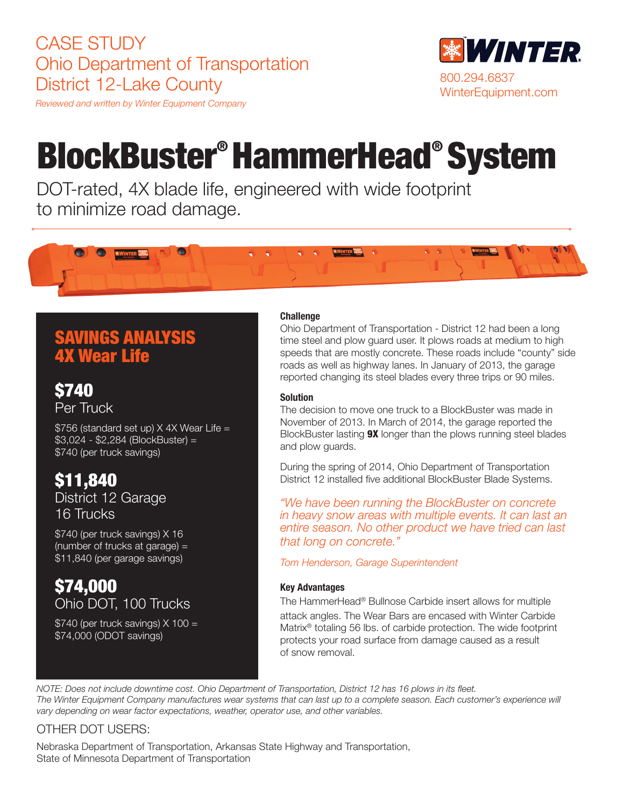# CASE STUDY Ohio Department of Transportation District 12-Lake County

*Reviewed and written by Winter Equipment Company*



# BlockBuster® HammerHead® System

DOT-rated, 4X blade life, engineered with wide footprint to minimize road damage.



# SAVINGS ANALYSIS 4X Wear Life

\$740 Per Truck

\$756 (standard set up) X 4X Wear Life = \$3,024 - \$2,284 (BlockBuster) = \$740 (per truck savings)

# \$11,840

District 12 Garage 16 Trucks

\$740 (per truck savings) X 16 (number of trucks at garage) = \$11,840 (per garage savings)

\$74,000 Ohio DOT, 100 Trucks

 $$740$  (per truck savings)  $\times$  100 = \$74,000 (ODOT savings)

## **Challenge**

Ohio Department of Transportation - District 12 had been a long time steel and plow guard user. It plows roads at medium to high speeds that are mostly concrete. These roads include "county" side roads as well as highway lanes. In January of 2013, the garage reported changing its steel blades every three trips or 90 miles.

#### **Solution**

The decision to move one truck to a BlockBuster was made in November of 2013. In March of 2014, the garage reported the BlockBuster lasting 9X longer than the plows running steel blades and plow guards.

During the spring of 2014, Ohio Department of Transportation District 12 installed five additional BlockBuster Blade Systems.

*"We have been running the BlockBuster on concrete in heavy snow areas with multiple events. It can last an entire season. No other product we have tried can last that long on concrete."*

*Tom Henderson, Garage Superintendent*

### Key Advantages

The HammerHead® Bullnose Carbide insert allows for multiple attack angles. The Wear Bars are encased with Winter Carbide Matrix® totaling 56 lbs. of carbide protection. The wide footprint protects your road surface from damage caused as a result of snow removal.

*NOTE: Does not include downtime cost. Ohio Department of Transportation, District 12 has 16 plows in its fleet. The Winter Equipment Company manufactures wear systems that can last up to a complete season. Each customer's experience will vary depending on wear factor expectations, weather, operator use, and other variables.* 

## OTHER DOT USERS:

Nebraska Department of Transportation, Arkansas State Highway and Transportation, State of Minnesota Department of Transportation